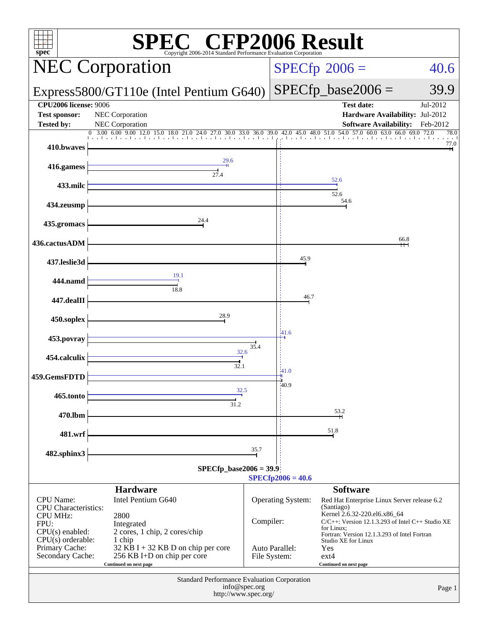| $spec^*$                                                                                 | C® CFP2006 Result<br>Copyright 2006-2014 Standard Performance Evaluation Corporation                                                                                               |           |                                                                                                                  |                                                                                                                                                                  |                                   |
|------------------------------------------------------------------------------------------|------------------------------------------------------------------------------------------------------------------------------------------------------------------------------------|-----------|------------------------------------------------------------------------------------------------------------------|------------------------------------------------------------------------------------------------------------------------------------------------------------------|-----------------------------------|
|                                                                                          | <b>NEC Corporation</b>                                                                                                                                                             |           | $SPECfp^{\circ}2006 =$                                                                                           | 40.6                                                                                                                                                             |                                   |
|                                                                                          | Express5800/GT110e (Intel Pentium G640)                                                                                                                                            |           | $SPECfp\_base2006 =$                                                                                             | 39.9                                                                                                                                                             |                                   |
| <b>CPU2006 license: 9006</b><br><b>Test sponsor:</b><br><b>Tested by:</b>                | NEC Corporation<br>NEC Corporation                                                                                                                                                 |           |                                                                                                                  | <b>Test date:</b><br>Hardware Availability: Jul-2012<br><b>Software Availability:</b>                                                                            | Jul-2012<br>Feb-2012              |
| 410.bwaves                                                                               | $\frac{0}{0}$ 3.00 6.00 9.00 12.0 15.0 18.0 21.0 24.0 27.0 30.0 33.0 36.0 39.0 42.0 45.0 48.0 51.0 54.0 57.0 60.0 63.0 66.0 69.0 72.0                                              |           |                                                                                                                  |                                                                                                                                                                  | 78.0<br><b>CONTRACTOR</b><br>77.0 |
| 416.gamess                                                                               | 29.6<br>27.4                                                                                                                                                                       |           |                                                                                                                  |                                                                                                                                                                  |                                   |
| 433.milc                                                                                 |                                                                                                                                                                                    |           |                                                                                                                  | 52.6<br>52.6                                                                                                                                                     |                                   |
| 434.zeusmp                                                                               |                                                                                                                                                                                    |           |                                                                                                                  | 54.6                                                                                                                                                             |                                   |
| 435.gromacs                                                                              | 24.4                                                                                                                                                                               |           |                                                                                                                  |                                                                                                                                                                  |                                   |
| 436.cactusADM                                                                            |                                                                                                                                                                                    |           |                                                                                                                  |                                                                                                                                                                  | 66.8                              |
| 437.leslie3d                                                                             |                                                                                                                                                                                    |           | 45.9                                                                                                             |                                                                                                                                                                  |                                   |
| 444.namd                                                                                 | 19.1<br>18.8                                                                                                                                                                       |           |                                                                                                                  |                                                                                                                                                                  |                                   |
| 447.dealII                                                                               |                                                                                                                                                                                    |           | 46.7                                                                                                             |                                                                                                                                                                  |                                   |
| 450.soplex                                                                               | 28.9                                                                                                                                                                               |           |                                                                                                                  |                                                                                                                                                                  |                                   |
| 453.povray                                                                               |                                                                                                                                                                                    | 41.6      |                                                                                                                  |                                                                                                                                                                  |                                   |
| 454.calculix                                                                             | 32.6<br>32.1                                                                                                                                                                       | 35.4      |                                                                                                                  |                                                                                                                                                                  |                                   |
| 459.GemsFDTD                                                                             |                                                                                                                                                                                    |           | $-41.0$                                                                                                          |                                                                                                                                                                  |                                   |
| 465.tonto                                                                                | 32.5<br>31.2                                                                                                                                                                       |           | 40.9                                                                                                             |                                                                                                                                                                  |                                   |
| 470.lbm                                                                                  |                                                                                                                                                                                    |           |                                                                                                                  | 53.2                                                                                                                                                             |                                   |
| 481.wrf                                                                                  |                                                                                                                                                                                    |           |                                                                                                                  | 51.8                                                                                                                                                             |                                   |
| 482.sphinx3                                                                              |                                                                                                                                                                                    | 35.7      |                                                                                                                  |                                                                                                                                                                  |                                   |
|                                                                                          | $SPECfp\_base2006 = 39.9$                                                                                                                                                          |           | $SPECfp2006 = 40.6$                                                                                              |                                                                                                                                                                  |                                   |
|                                                                                          | <b>Hardware</b>                                                                                                                                                                    |           |                                                                                                                  | <b>Software</b>                                                                                                                                                  |                                   |
| CPU Name:<br><b>CPU</b> Characteristics:<br><b>CPU MHz:</b><br>FPU:<br>$CPU(s)$ enabled: | Intel Pentium G640<br>2800<br>Integrated<br>2 cores, 1 chip, 2 cores/chip                                                                                                          | Compiler: | Operating System:                                                                                                | Red Hat Enterprise Linux Server release 6.2<br>(Santiago)<br>Kernel 2.6.32-220.el6.x86_64<br>$C/C++$ : Version 12.1.3.293 of Intel $C++$ Studio XE<br>for Linux; |                                   |
| Primary Cache:                                                                           | $CPU(s)$ orderable:<br>1 chip<br>32 KB I + 32 KB D on chip per core<br>Auto Parallel:<br>Secondary Cache:<br>256 KB I+D on chip per core<br>File System:<br>Continued on next page |           | Fortran: Version 12.1.3.293 of Intel Fortran<br>Studio XE for Linux<br>Yes<br>$ext{4}$<br>Continued on next page |                                                                                                                                                                  |                                   |
|                                                                                          | Standard Performance Evaluation Corporation<br>info@spec.org<br>http://www.spec.org/                                                                                               |           |                                                                                                                  |                                                                                                                                                                  | Page 1                            |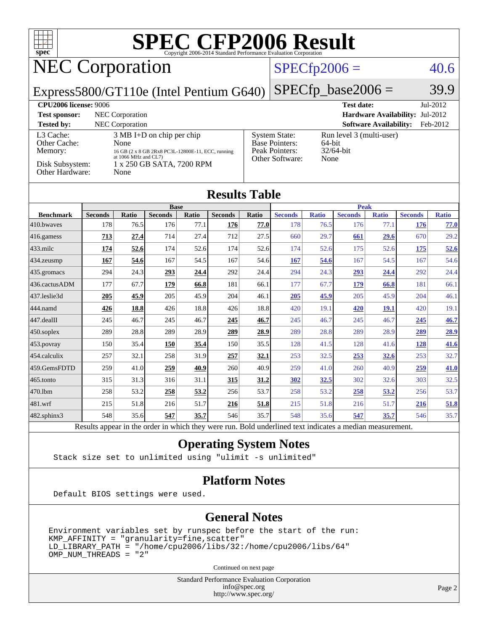| $spec^*$                                                                                                    |                       |                 | <b>SPEC CFP2006 Result</b>                                                                               |               | Copyright 2006-2014 Standard Performance Evaluation Corporation |               |                       |                      |                       |                      |                       |                      |
|-------------------------------------------------------------------------------------------------------------|-----------------------|-----------------|----------------------------------------------------------------------------------------------------------|---------------|-----------------------------------------------------------------|---------------|-----------------------|----------------------|-----------------------|----------------------|-----------------------|----------------------|
| <b>NEC Corporation</b>                                                                                      |                       |                 |                                                                                                          |               | $SPECfp2006 =$                                                  |               |                       |                      |                       | 40.6                 |                       |                      |
| Express5800/GT110e (Intel Pentium G640)                                                                     |                       |                 |                                                                                                          |               |                                                                 |               | $SPECfp\_base2006 =$  |                      |                       |                      |                       | 39.9                 |
| <b>CPU2006</b> license: 9006<br><b>Test date:</b>                                                           |                       |                 |                                                                                                          |               |                                                                 |               | Jul-2012              |                      |                       |                      |                       |                      |
| NEC Corporation<br>Hardware Availability: Jul-2012<br><b>Test sponsor:</b><br><b>Software Availability:</b> |                       |                 |                                                                                                          |               |                                                                 |               |                       |                      |                       |                      |                       |                      |
| <b>Tested by:</b>                                                                                           |                       | NEC Corporation |                                                                                                          |               |                                                                 |               |                       |                      |                       |                      |                       | Feb-2012             |
| 3 MB I+D on chip per chip<br>L3 Cache:<br><b>System State:</b><br>Base Pointers:<br>Other Cache:<br>None    |                       |                 |                                                                                                          |               | Run level 3 (multi-user)<br>64-bit                              |               |                       |                      |                       |                      |                       |                      |
| Peak Pointers:<br>Memory:<br>16 GB (2 x 8 GB 2Rx8 PC3L-12800E-11, ECC, running<br>at 1066 MHz and CL7)      |                       |                 |                                                                                                          |               |                                                                 | 32/64-bit     |                       |                      |                       |                      |                       |                      |
| Other Software:<br>None<br>Disk Subsystem:<br>1 x 250 GB SATA, 7200 RPM<br>Other Hardware:<br>None          |                       |                 |                                                                                                          |               |                                                                 |               |                       |                      |                       |                      |                       |                      |
|                                                                                                             |                       |                 |                                                                                                          |               |                                                                 |               |                       |                      |                       |                      |                       |                      |
| <b>Results Table</b>                                                                                        |                       |                 |                                                                                                          |               |                                                                 |               |                       |                      |                       |                      |                       |                      |
|                                                                                                             |                       |                 | <b>Base</b>                                                                                              |               |                                                                 |               | <b>Peak</b>           |                      |                       |                      |                       |                      |
| <b>Benchmark</b><br>410.bwayes                                                                              | <b>Seconds</b><br>178 | Ratio<br>76.5   | <b>Seconds</b><br>176                                                                                    | Ratio<br>77.1 | <b>Seconds</b><br>176                                           | Ratio<br>77.0 | <b>Seconds</b><br>178 | <b>Ratio</b><br>76.5 | <b>Seconds</b><br>176 | <b>Ratio</b><br>77.1 | <b>Seconds</b><br>176 | <b>Ratio</b><br>77.0 |
| 416.gamess                                                                                                  | 713                   | 27.4            | 714                                                                                                      | 27.4          | 712                                                             | 27.5          | 660                   | 29.7                 | 661                   | 29.6                 | 670                   | 29.2                 |
| 433.milc                                                                                                    | 174                   | 52.6            | 174                                                                                                      | 52.6          | 174                                                             | 52.6          | 174                   | 52.6                 | 175                   | 52.6                 | 175                   | 52.6                 |
| 434.zeusmp                                                                                                  | 167                   | 54.6            | 167                                                                                                      | 54.5          | 167                                                             | 54.6          | <b>167</b>            | 54.6                 | 167                   | 54.5                 | 167                   | 54.6                 |
| 435.gromacs                                                                                                 | 294                   | 24.3            | 293                                                                                                      | 24.4          | 292                                                             | 24.4          | 294                   | 24.3                 | 293                   | 24.4                 | 292                   | 24.4                 |
| 436.cactusADM                                                                                               | 177                   | 67.7            | 179                                                                                                      | 66.8          | 181                                                             | 66.1          | 177                   | 67.7                 | 179                   | 66.8                 | 181                   | 66.1                 |
| 437.leslie3d                                                                                                | 205                   | 45.9            | 205                                                                                                      | 45.9          | 204                                                             | 46.1          | 205                   | 45.9                 | 205                   | 45.9                 | 204                   | 46.1                 |
| 444.namd                                                                                                    | 426                   | <u>18.8</u>     | 426                                                                                                      | 18.8          | 426                                                             | 18.8          | 420                   | 19.1                 | 420                   | <u>19.1</u>          | 420                   | 19.1                 |
| 447.dealII                                                                                                  | 245                   | 46.7            | 245                                                                                                      | 46.7          | 245                                                             | 46.7          | 245                   | 46.7                 | 245                   | 46.7                 | 245                   | 46.7                 |
| 450.soplex                                                                                                  | 289                   | 28.8            | 289                                                                                                      | 28.9          | 289                                                             | 28.9          | 289                   | 28.8                 | 289                   | 28.9                 | 289                   | 28.9                 |
| 453.povray                                                                                                  | 150                   | 35.4            | 150                                                                                                      | 35.4          | 150                                                             | 35.5          | 128                   | 41.5                 | 128                   | 41.6                 | 128                   | 41.6                 |
| 454.calculix                                                                                                | 257                   | 32.1            | 258                                                                                                      | 31.9          | 257                                                             | <u>32.1</u>   | 253                   | 32.5                 | <u>253</u>            | <b>32.6</b>          | 253                   | 32.7                 |
| 459.GemsFDTD                                                                                                | 259                   | 41.0            | 259                                                                                                      | 40.9          | 260                                                             | 40.9          | 259                   | 41.0                 | 260                   | 40.9                 | 259                   | 41.0                 |
| 465.tonto                                                                                                   | 315                   | 31.3            | 316                                                                                                      | 31.1          | 315                                                             | 31.2          | <u>302</u>            | <u>32.5</u>          | 302                   | 32.6                 | 303                   | 32.5                 |
| 470.1bm                                                                                                     | 258                   | 53.2            | 258                                                                                                      | 53.2          | 256                                                             | 53.7          | 258                   | 53.2                 | 258                   | 53.2                 | 256                   | 53.7                 |
| 481.wrf                                                                                                     | 215                   | 51.8            | 216                                                                                                      | 51.7          | 216                                                             | 51.8          | 215                   | 51.8                 | 216                   | 51.7                 | 216                   | 51.8                 |
| 482.sphinx3                                                                                                 | 548                   | 35.6            | 547                                                                                                      | 35.7          | 546                                                             | 35.7          | 548                   | 35.6                 | 547                   | 35.7                 | 546                   | 35.7                 |
|                                                                                                             |                       |                 | Results appear in the order in which they were run. Bold underlined text indicates a median measurement. |               |                                                                 |               |                       |                      |                       |                      |                       |                      |

#### **[Operating System Notes](http://www.spec.org/auto/cpu2006/Docs/result-fields.html#OperatingSystemNotes)**

Stack size set to unlimited using "ulimit -s unlimited"

#### **[Platform Notes](http://www.spec.org/auto/cpu2006/Docs/result-fields.html#PlatformNotes)**

Default BIOS settings were used.

#### **[General Notes](http://www.spec.org/auto/cpu2006/Docs/result-fields.html#GeneralNotes)**

Environment variables set by runspec before the start of the run: KMP\_AFFINITY = "granularity=fine,scatter" LD\_LIBRARY\_PATH = "/home/cpu2006/libs/32:/home/cpu2006/libs/64" OMP\_NUM\_THREADS = "2"

Continued on next page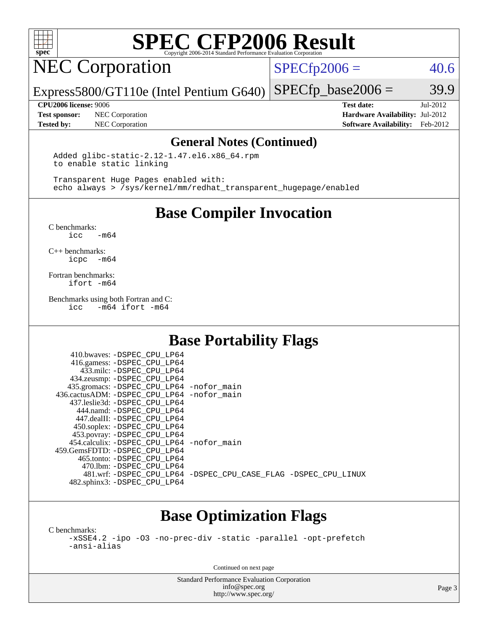

# **[SPEC CFP2006 Result](http://www.spec.org/auto/cpu2006/Docs/result-fields.html#SPECCFP2006Result)**

# NEC Corporation

 $SPECTp2006 = 40.6$ 

Express5800/GT110e (Intel Pentium G640)  $SPECTp\_base2006 = 39.9$ 

**[Test sponsor:](http://www.spec.org/auto/cpu2006/Docs/result-fields.html#Testsponsor)** NEC Corporation **[Hardware Availability:](http://www.spec.org/auto/cpu2006/Docs/result-fields.html#HardwareAvailability)** Jul-2012

**[CPU2006 license:](http://www.spec.org/auto/cpu2006/Docs/result-fields.html#CPU2006license)** 9006 **[Test date:](http://www.spec.org/auto/cpu2006/Docs/result-fields.html#Testdate)** Jul-2012 **[Tested by:](http://www.spec.org/auto/cpu2006/Docs/result-fields.html#Testedby)** NEC Corporation **[Software Availability:](http://www.spec.org/auto/cpu2006/Docs/result-fields.html#SoftwareAvailability)** Feb-2012

#### **[General Notes \(Continued\)](http://www.spec.org/auto/cpu2006/Docs/result-fields.html#GeneralNotes)**

 Added glibc-static-2.12-1.47.el6.x86\_64.rpm to enable static linking

 Transparent Huge Pages enabled with: echo always > /sys/kernel/mm/redhat\_transparent\_hugepage/enabled

**[Base Compiler Invocation](http://www.spec.org/auto/cpu2006/Docs/result-fields.html#BaseCompilerInvocation)**

[C benchmarks](http://www.spec.org/auto/cpu2006/Docs/result-fields.html#Cbenchmarks):  $-m64$ 

[C++ benchmarks:](http://www.spec.org/auto/cpu2006/Docs/result-fields.html#CXXbenchmarks) [icpc -m64](http://www.spec.org/cpu2006/results/res2012q3/cpu2006-20120716-23733.flags.html#user_CXXbase_intel_icpc_64bit_bedb90c1146cab66620883ef4f41a67e)

[Fortran benchmarks](http://www.spec.org/auto/cpu2006/Docs/result-fields.html#Fortranbenchmarks): [ifort -m64](http://www.spec.org/cpu2006/results/res2012q3/cpu2006-20120716-23733.flags.html#user_FCbase_intel_ifort_64bit_ee9d0fb25645d0210d97eb0527dcc06e)

[Benchmarks using both Fortran and C](http://www.spec.org/auto/cpu2006/Docs/result-fields.html#BenchmarksusingbothFortranandC): [icc -m64](http://www.spec.org/cpu2006/results/res2012q3/cpu2006-20120716-23733.flags.html#user_CC_FCbase_intel_icc_64bit_0b7121f5ab7cfabee23d88897260401c) [ifort -m64](http://www.spec.org/cpu2006/results/res2012q3/cpu2006-20120716-23733.flags.html#user_CC_FCbase_intel_ifort_64bit_ee9d0fb25645d0210d97eb0527dcc06e)

#### **[Base Portability Flags](http://www.spec.org/auto/cpu2006/Docs/result-fields.html#BasePortabilityFlags)**

| 410.bwaves: -DSPEC CPU LP64                |                                                                |
|--------------------------------------------|----------------------------------------------------------------|
| 416.gamess: -DSPEC_CPU_LP64                |                                                                |
| 433.milc: -DSPEC CPU LP64                  |                                                                |
| 434.zeusmp: -DSPEC_CPU_LP64                |                                                                |
| 435.gromacs: -DSPEC_CPU_LP64 -nofor_main   |                                                                |
| 436.cactusADM: -DSPEC CPU LP64 -nofor main |                                                                |
| 437.leslie3d: -DSPEC CPU LP64              |                                                                |
| 444.namd: -DSPEC CPU LP64                  |                                                                |
| 447.dealII: -DSPEC CPU LP64                |                                                                |
| 450.soplex: -DSPEC_CPU_LP64                |                                                                |
| 453.povray: -DSPEC_CPU_LP64                |                                                                |
| 454.calculix: -DSPEC_CPU_LP64 -nofor_main  |                                                                |
| 459.GemsFDTD: - DSPEC CPU LP64             |                                                                |
| 465.tonto: - DSPEC CPU LP64                |                                                                |
| 470.1bm: - DSPEC CPU LP64                  |                                                                |
|                                            | 481.wrf: -DSPEC CPU LP64 -DSPEC CPU CASE FLAG -DSPEC CPU LINUX |
| 482.sphinx3: -DSPEC_CPU_LP64               |                                                                |

#### **[Base Optimization Flags](http://www.spec.org/auto/cpu2006/Docs/result-fields.html#BaseOptimizationFlags)**

[C benchmarks](http://www.spec.org/auto/cpu2006/Docs/result-fields.html#Cbenchmarks):

[-xSSE4.2](http://www.spec.org/cpu2006/results/res2012q3/cpu2006-20120716-23733.flags.html#user_CCbase_f-xSSE42_f91528193cf0b216347adb8b939d4107) [-ipo](http://www.spec.org/cpu2006/results/res2012q3/cpu2006-20120716-23733.flags.html#user_CCbase_f-ipo) [-O3](http://www.spec.org/cpu2006/results/res2012q3/cpu2006-20120716-23733.flags.html#user_CCbase_f-O3) [-no-prec-div](http://www.spec.org/cpu2006/results/res2012q3/cpu2006-20120716-23733.flags.html#user_CCbase_f-no-prec-div) [-static](http://www.spec.org/cpu2006/results/res2012q3/cpu2006-20120716-23733.flags.html#user_CCbase_f-static) [-parallel](http://www.spec.org/cpu2006/results/res2012q3/cpu2006-20120716-23733.flags.html#user_CCbase_f-parallel) [-opt-prefetch](http://www.spec.org/cpu2006/results/res2012q3/cpu2006-20120716-23733.flags.html#user_CCbase_f-opt-prefetch) [-ansi-alias](http://www.spec.org/cpu2006/results/res2012q3/cpu2006-20120716-23733.flags.html#user_CCbase_f-ansi-alias)

Continued on next page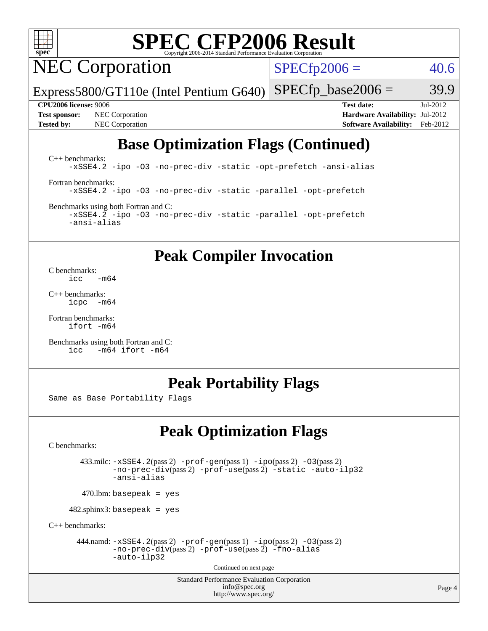

# **[SPEC CFP2006 Result](http://www.spec.org/auto/cpu2006/Docs/result-fields.html#SPECCFP2006Result)**

# NEC Corporation

 $SPECfp2006 = 40.6$  $SPECfp2006 = 40.6$ 

Express5800/GT110e (Intel Pentium G640)  $SPECTp\_base2006 = 39.9$ 

**[Test sponsor:](http://www.spec.org/auto/cpu2006/Docs/result-fields.html#Testsponsor)** NEC Corporation **[Hardware Availability:](http://www.spec.org/auto/cpu2006/Docs/result-fields.html#HardwareAvailability)** Jul-2012

**[CPU2006 license:](http://www.spec.org/auto/cpu2006/Docs/result-fields.html#CPU2006license)** 9006 **[Test date:](http://www.spec.org/auto/cpu2006/Docs/result-fields.html#Testdate)** Jul-2012 **[Tested by:](http://www.spec.org/auto/cpu2006/Docs/result-fields.html#Testedby)** NEC Corporation **[Software Availability:](http://www.spec.org/auto/cpu2006/Docs/result-fields.html#SoftwareAvailability)** Feb-2012

## **[Base Optimization Flags \(Continued\)](http://www.spec.org/auto/cpu2006/Docs/result-fields.html#BaseOptimizationFlags)**

[C++ benchmarks:](http://www.spec.org/auto/cpu2006/Docs/result-fields.html#CXXbenchmarks) [-xSSE4.2](http://www.spec.org/cpu2006/results/res2012q3/cpu2006-20120716-23733.flags.html#user_CXXbase_f-xSSE42_f91528193cf0b216347adb8b939d4107) [-ipo](http://www.spec.org/cpu2006/results/res2012q3/cpu2006-20120716-23733.flags.html#user_CXXbase_f-ipo) [-O3](http://www.spec.org/cpu2006/results/res2012q3/cpu2006-20120716-23733.flags.html#user_CXXbase_f-O3) [-no-prec-div](http://www.spec.org/cpu2006/results/res2012q3/cpu2006-20120716-23733.flags.html#user_CXXbase_f-no-prec-div) [-static](http://www.spec.org/cpu2006/results/res2012q3/cpu2006-20120716-23733.flags.html#user_CXXbase_f-static) [-opt-prefetch](http://www.spec.org/cpu2006/results/res2012q3/cpu2006-20120716-23733.flags.html#user_CXXbase_f-opt-prefetch) [-ansi-alias](http://www.spec.org/cpu2006/results/res2012q3/cpu2006-20120716-23733.flags.html#user_CXXbase_f-ansi-alias) [Fortran benchmarks](http://www.spec.org/auto/cpu2006/Docs/result-fields.html#Fortranbenchmarks): [-xSSE4.2](http://www.spec.org/cpu2006/results/res2012q3/cpu2006-20120716-23733.flags.html#user_FCbase_f-xSSE42_f91528193cf0b216347adb8b939d4107) [-ipo](http://www.spec.org/cpu2006/results/res2012q3/cpu2006-20120716-23733.flags.html#user_FCbase_f-ipo) [-O3](http://www.spec.org/cpu2006/results/res2012q3/cpu2006-20120716-23733.flags.html#user_FCbase_f-O3) [-no-prec-div](http://www.spec.org/cpu2006/results/res2012q3/cpu2006-20120716-23733.flags.html#user_FCbase_f-no-prec-div) [-static](http://www.spec.org/cpu2006/results/res2012q3/cpu2006-20120716-23733.flags.html#user_FCbase_f-static) [-parallel](http://www.spec.org/cpu2006/results/res2012q3/cpu2006-20120716-23733.flags.html#user_FCbase_f-parallel) [-opt-prefetch](http://www.spec.org/cpu2006/results/res2012q3/cpu2006-20120716-23733.flags.html#user_FCbase_f-opt-prefetch) [Benchmarks using both Fortran and C](http://www.spec.org/auto/cpu2006/Docs/result-fields.html#BenchmarksusingbothFortranandC):

[-xSSE4.2](http://www.spec.org/cpu2006/results/res2012q3/cpu2006-20120716-23733.flags.html#user_CC_FCbase_f-xSSE42_f91528193cf0b216347adb8b939d4107) [-ipo](http://www.spec.org/cpu2006/results/res2012q3/cpu2006-20120716-23733.flags.html#user_CC_FCbase_f-ipo) [-O3](http://www.spec.org/cpu2006/results/res2012q3/cpu2006-20120716-23733.flags.html#user_CC_FCbase_f-O3) [-no-prec-div](http://www.spec.org/cpu2006/results/res2012q3/cpu2006-20120716-23733.flags.html#user_CC_FCbase_f-no-prec-div) [-static](http://www.spec.org/cpu2006/results/res2012q3/cpu2006-20120716-23733.flags.html#user_CC_FCbase_f-static) [-parallel](http://www.spec.org/cpu2006/results/res2012q3/cpu2006-20120716-23733.flags.html#user_CC_FCbase_f-parallel) [-opt-prefetch](http://www.spec.org/cpu2006/results/res2012q3/cpu2006-20120716-23733.flags.html#user_CC_FCbase_f-opt-prefetch) [-ansi-alias](http://www.spec.org/cpu2006/results/res2012q3/cpu2006-20120716-23733.flags.html#user_CC_FCbase_f-ansi-alias)

### **[Peak Compiler Invocation](http://www.spec.org/auto/cpu2006/Docs/result-fields.html#PeakCompilerInvocation)**

[C benchmarks](http://www.spec.org/auto/cpu2006/Docs/result-fields.html#Cbenchmarks):  $\frac{1}{2}$ cc  $-\text{m64}$ 

[C++ benchmarks:](http://www.spec.org/auto/cpu2006/Docs/result-fields.html#CXXbenchmarks) [icpc -m64](http://www.spec.org/cpu2006/results/res2012q3/cpu2006-20120716-23733.flags.html#user_CXXpeak_intel_icpc_64bit_bedb90c1146cab66620883ef4f41a67e)

[Fortran benchmarks](http://www.spec.org/auto/cpu2006/Docs/result-fields.html#Fortranbenchmarks): [ifort -m64](http://www.spec.org/cpu2006/results/res2012q3/cpu2006-20120716-23733.flags.html#user_FCpeak_intel_ifort_64bit_ee9d0fb25645d0210d97eb0527dcc06e)

[Benchmarks using both Fortran and C](http://www.spec.org/auto/cpu2006/Docs/result-fields.html#BenchmarksusingbothFortranandC): [icc -m64](http://www.spec.org/cpu2006/results/res2012q3/cpu2006-20120716-23733.flags.html#user_CC_FCpeak_intel_icc_64bit_0b7121f5ab7cfabee23d88897260401c) [ifort -m64](http://www.spec.org/cpu2006/results/res2012q3/cpu2006-20120716-23733.flags.html#user_CC_FCpeak_intel_ifort_64bit_ee9d0fb25645d0210d97eb0527dcc06e)

### **[Peak Portability Flags](http://www.spec.org/auto/cpu2006/Docs/result-fields.html#PeakPortabilityFlags)**

Same as Base Portability Flags

## **[Peak Optimization Flags](http://www.spec.org/auto/cpu2006/Docs/result-fields.html#PeakOptimizationFlags)**

[C benchmarks](http://www.spec.org/auto/cpu2006/Docs/result-fields.html#Cbenchmarks):

433.milc:  $-xSSE4$ . 2(pass 2)  $-prof-gen(pass 1) -ipo(pass 2) -O3(pass 2)$  $-prof-gen(pass 1) -ipo(pass 2) -O3(pass 2)$  $-prof-gen(pass 1) -ipo(pass 2) -O3(pass 2)$  $-prof-gen(pass 1) -ipo(pass 2) -O3(pass 2)$  $-prof-gen(pass 1) -ipo(pass 2) -O3(pass 2)$  $-prof-gen(pass 1) -ipo(pass 2) -O3(pass 2)$ [-no-prec-div](http://www.spec.org/cpu2006/results/res2012q3/cpu2006-20120716-23733.flags.html#user_peakPASS2_CFLAGSPASS2_LDFLAGS433_milc_f-no-prec-div)(pass 2) [-prof-use](http://www.spec.org/cpu2006/results/res2012q3/cpu2006-20120716-23733.flags.html#user_peakPASS2_CFLAGSPASS2_LDFLAGS433_milc_prof_use_bccf7792157ff70d64e32fe3e1250b55)(pass 2) [-static](http://www.spec.org/cpu2006/results/res2012q3/cpu2006-20120716-23733.flags.html#user_peakOPTIMIZE433_milc_f-static) [-auto-ilp32](http://www.spec.org/cpu2006/results/res2012q3/cpu2006-20120716-23733.flags.html#user_peakCOPTIMIZE433_milc_f-auto-ilp32) [-ansi-alias](http://www.spec.org/cpu2006/results/res2012q3/cpu2006-20120716-23733.flags.html#user_peakCOPTIMIZE433_milc_f-ansi-alias)

 $470.$ lbm: basepeak = yes

482.sphinx3: basepeak = yes

[C++ benchmarks:](http://www.spec.org/auto/cpu2006/Docs/result-fields.html#CXXbenchmarks)

444.namd:  $-xSSE4$ . 2(pass 2)  $-prof-gen(pass 1) -ipo(pass 2) -O3(pass 2)$  $-prof-gen(pass 1) -ipo(pass 2) -O3(pass 2)$  $-prof-gen(pass 1) -ipo(pass 2) -O3(pass 2)$  $-prof-gen(pass 1) -ipo(pass 2) -O3(pass 2)$  $-prof-gen(pass 1) -ipo(pass 2) -O3(pass 2)$  $-prof-gen(pass 1) -ipo(pass 2) -O3(pass 2)$ [-no-prec-div](http://www.spec.org/cpu2006/results/res2012q3/cpu2006-20120716-23733.flags.html#user_peakPASS2_CXXFLAGSPASS2_LDFLAGS444_namd_f-no-prec-div)(pass 2) [-prof-use](http://www.spec.org/cpu2006/results/res2012q3/cpu2006-20120716-23733.flags.html#user_peakPASS2_CXXFLAGSPASS2_LDFLAGS444_namd_prof_use_bccf7792157ff70d64e32fe3e1250b55)(pass 2) [-fno-alias](http://www.spec.org/cpu2006/results/res2012q3/cpu2006-20120716-23733.flags.html#user_peakCXXOPTIMIZEOPTIMIZE444_namd_f-no-alias_694e77f6c5a51e658e82ccff53a9e63a) [-auto-ilp32](http://www.spec.org/cpu2006/results/res2012q3/cpu2006-20120716-23733.flags.html#user_peakCXXOPTIMIZE444_namd_f-auto-ilp32)

Continued on next page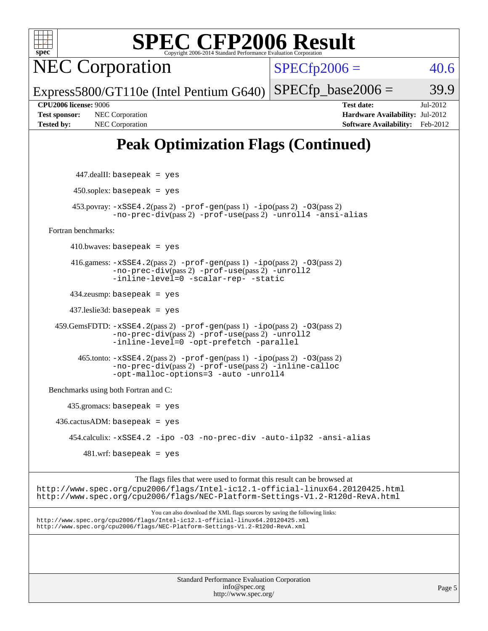